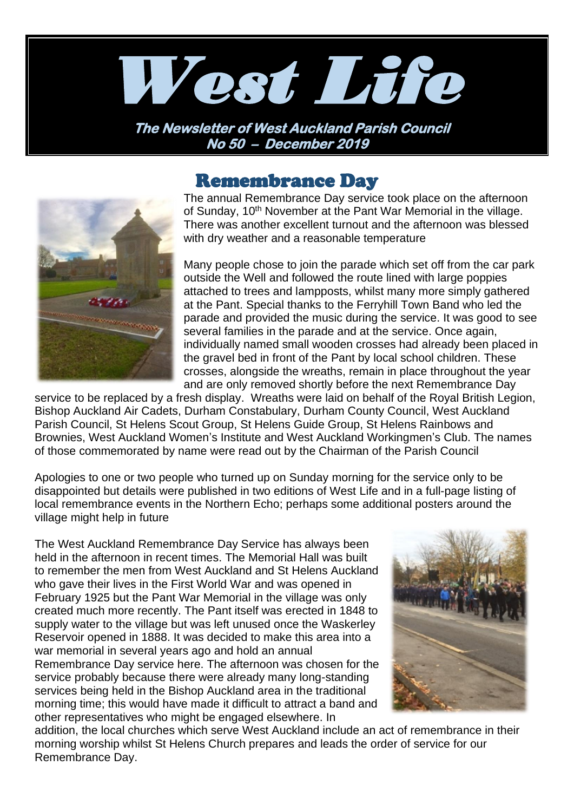

**The Newsletter of West Auckland Parish Council No 50 – December 2019** 

## Remembrance Day



The annual Remembrance Day service took place on the afternoon of Sunday, 10<sup>th</sup> November at the Pant War Memorial in the village. There was another excellent turnout and the afternoon was blessed with dry weather and a reasonable temperature

Many people chose to join the parade which set off from the car park outside the Well and followed the route lined with large poppies attached to trees and lampposts, whilst many more simply gathered at the Pant. Special thanks to the Ferryhill Town Band who led the parade and provided the music during the service. It was good to see several families in the parade and at the service. Once again, individually named small wooden crosses had already been placed in the gravel bed in front of the Pant by local school children. These crosses, alongside the wreaths, remain in place throughout the year and are only removed shortly before the next Remembrance Day

service to be replaced by a fresh display. Wreaths were laid on behalf of the Royal British Legion, Bishop Auckland Air Cadets, Durham Constabulary, Durham County Council, West Auckland Parish Council, St Helens Scout Group, St Helens Guide Group, St Helens Rainbows and Brownies, West Auckland Women's Institute and West Auckland Workingmen's Club. The names of those commemorated by name were read out by the Chairman of the Parish Council

Apologies to one or two people who turned up on Sunday morning for the service only to be disappointed but details were published in two editions of West Life and in a full-page listing of local remembrance events in the Northern Echo; perhaps some additional posters around the village might help in future

The West Auckland Remembrance Day Service has always been held in the afternoon in recent times. The Memorial Hall was built to remember the men from West Auckland and St Helens Auckland who gave their lives in the First World War and was opened in February 1925 but the Pant War Memorial in the village was only created much more recently. The Pant itself was erected in 1848 to supply water to the village but was left unused once the Waskerley Reservoir opened in 1888. It was decided to make this area into a war memorial in several years ago and hold an annual Remembrance Day service here. The afternoon was chosen for the service probably because there were already many long-standing services being held in the Bishop Auckland area in the traditional morning time; this would have made it difficult to attract a band and other representatives who might be engaged elsewhere. In



addition, the local churches which serve West Auckland include an act of remembrance in their morning worship whilst St Helens Church prepares and leads the order of service for our Remembrance Day.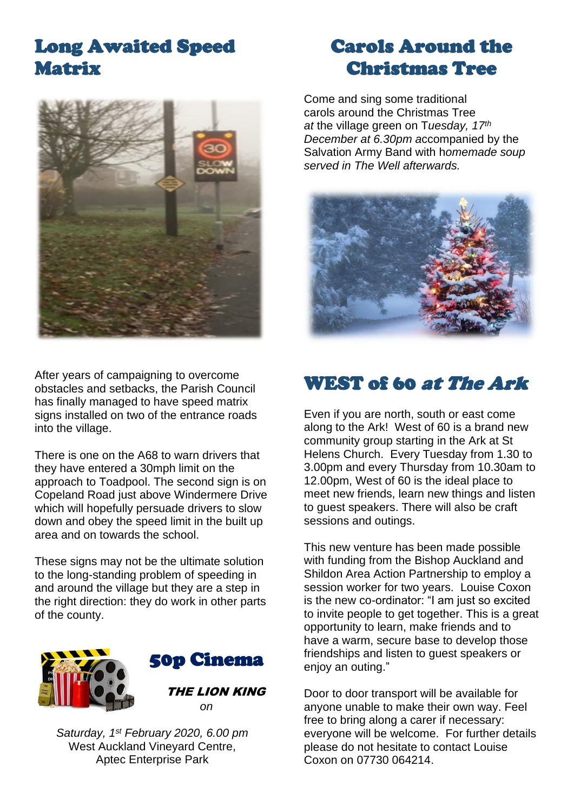# Long Awaited Speed Matrix



After years of campaigning to overcome obstacles and setbacks, the Parish Council has finally managed to have speed matrix signs installed on two of the entrance roads into the village.

There is one on the A68 to warn drivers that they have entered a 30mph limit on the approach to Toadpool. The second sign is on Copeland Road just above Windermere Drive which will hopefully persuade drivers to slow down and obey the speed limit in the built up area and on towards the school.

These signs may not be the ultimate solution to the long-standing problem of speeding in and around the village but they are a step in the right direction: they do work in other parts of the county.





 THE LION KING *on*

*Saturday, 1st February 2020, 6.00 pm* West Auckland Vineyard Centre. Aptec Enterprise Park

# Carols Around the Christmas Tree

Come and sing some traditional carols around the Christmas Tree *at* the village green on T*uesday, 17th December at 6.30pm a*ccompanied by the Salvation Army Band with h*omemade soup served in The Well afterwards.*



## WEST of 60 at The Ark

Even if you are north, south or east come along to the Ark! West of 60 is a brand new community group starting in the Ark at St Helens Church. Every Tuesday from 1.30 to 3.00pm and every Thursday from 10.30am to 12.00pm, West of 60 is the ideal place to meet new friends, learn new things and listen to guest speakers. There will also be craft sessions and outings.

This new venture has been made possible with funding from the Bishop Auckland and Shildon Area Action Partnership to employ a session worker for two years. Louise Coxon is the new co-ordinator: "I am just so excited to invite people to get together. This is a great opportunity to learn, make friends and to have a warm, secure base to develop those friendships and listen to guest speakers or enjoy an outing."

Door to door transport will be available for anyone unable to make their own way. Feel free to bring along a carer if necessary: everyone will be welcome. For further details please do not hesitate to contact Louise Coxon on 07730 064214.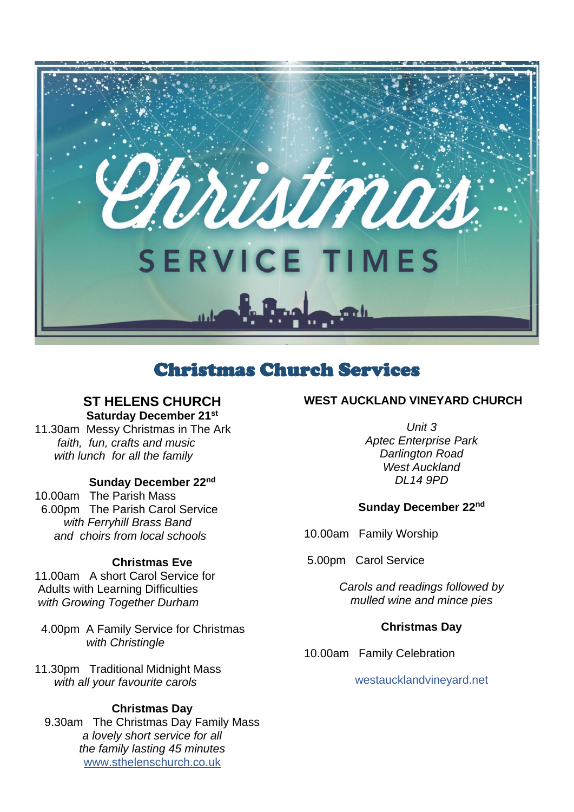

## Christmas Church Services

## **ST HELENS CHURCH Saturday December 21st**

11.30am Messy Christmas in The Ark  *faith, fun, crafts and music with lunch for all the family*

### **Sunday December 22nd**

10.00am The Parish Mass 6.00pm The Parish Carol Service  *with Ferryhill Brass Band and choirs from local schools*

### **Christmas Eve**

11.00am A short Carol Service for Adults with Learning Difficulties *with Growing Together Durham*

 4.00pm A Family Service for Christmas  *with Christingle*

11.30pm Traditional Midnight Mass  *with all your favourite carols*

### **Christmas Day**

9.30am The Christmas Day Family Mass *a lovely short service for all the family lasting 45 minutes* [www.sthelenschurch.co.uk](http://www.sthelenschurch.co.uk/)

### **WEST AUCKLAND VINEYARD CHURCH**

*Unit 3 Aptec Enterprise Park Darlington Road West Auckland DL14 9PD*

### **Sunday December 22nd**

10.00am Family Worship

5.00pm Carol Service

*Carols and readings followed by mulled wine and mince pies*

### **Christmas Day**

10.00am Family Celebration

#### westaucklandvineyard.net